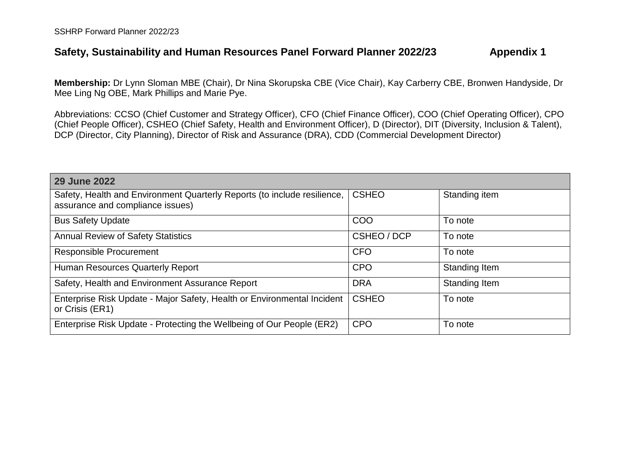## **Safety, Sustainability and Human Resources Panel Forward Planner 2022/23 Appendix 1**

**Membership:** Dr Lynn Sloman MBE (Chair), Dr Nina Skorupska CBE (Vice Chair), Kay Carberry CBE, Bronwen Handyside, Dr Mee Ling Ng OBE, Mark Phillips and Marie Pye.

Abbreviations: CCSO (Chief Customer and Strategy Officer), CFO (Chief Finance Officer), COO (Chief Operating Officer), CPO (Chief People Officer), CSHEO (Chief Safety, Health and Environment Officer), D (Director), DIT (Diversity, Inclusion & Talent), DCP (Director, City Planning), Director of Risk and Assurance (DRA), CDD (Commercial Development Director)

| <b>29 June 2022</b>                                                                                          |              |                      |
|--------------------------------------------------------------------------------------------------------------|--------------|----------------------|
| Safety, Health and Environment Quarterly Reports (to include resilience,<br>assurance and compliance issues) | <b>CSHEO</b> | Standing item        |
| <b>Bus Safety Update</b>                                                                                     | COO          | To note              |
| <b>Annual Review of Safety Statistics</b>                                                                    | CSHEO / DCP  | To note              |
| <b>Responsible Procurement</b>                                                                               | <b>CFO</b>   | To note              |
| Human Resources Quarterly Report                                                                             | <b>CPO</b>   | <b>Standing Item</b> |
| Safety, Health and Environment Assurance Report                                                              | <b>DRA</b>   | Standing Item        |
| Enterprise Risk Update - Major Safety, Health or Environmental Incident<br>or Crisis (ER1)                   | <b>CSHEO</b> | To note              |
| Enterprise Risk Update - Protecting the Wellbeing of Our People (ER2)                                        | <b>CPO</b>   | To note              |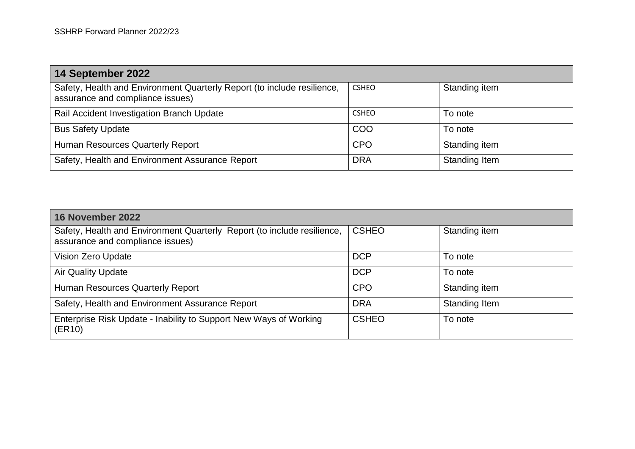| 14 September 2022                                                                                           |              |               |  |  |
|-------------------------------------------------------------------------------------------------------------|--------------|---------------|--|--|
| Safety, Health and Environment Quarterly Report (to include resilience,<br>assurance and compliance issues) | <b>CSHEO</b> | Standing item |  |  |
| Rail Accident Investigation Branch Update                                                                   | <b>CSHEO</b> | To note       |  |  |
| <b>Bus Safety Update</b>                                                                                    | COO          | To note       |  |  |
| <b>Human Resources Quarterly Report</b>                                                                     | <b>CPO</b>   | Standing item |  |  |
| Safety, Health and Environment Assurance Report                                                             | <b>DRA</b>   | Standing Item |  |  |

| 16 November 2022                                                                                            |              |               |  |  |
|-------------------------------------------------------------------------------------------------------------|--------------|---------------|--|--|
| Safety, Health and Environment Quarterly Report (to include resilience,<br>assurance and compliance issues) | <b>CSHEO</b> | Standing item |  |  |
| <b>Vision Zero Update</b>                                                                                   | <b>DCP</b>   | To note       |  |  |
| <b>Air Quality Update</b>                                                                                   | <b>DCP</b>   | To note       |  |  |
| Human Resources Quarterly Report                                                                            | <b>CPO</b>   | Standing item |  |  |
| Safety, Health and Environment Assurance Report                                                             | <b>DRA</b>   | Standing Item |  |  |
| Enterprise Risk Update - Inability to Support New Ways of Working<br>(ER10)                                 | <b>CSHEO</b> | To note       |  |  |